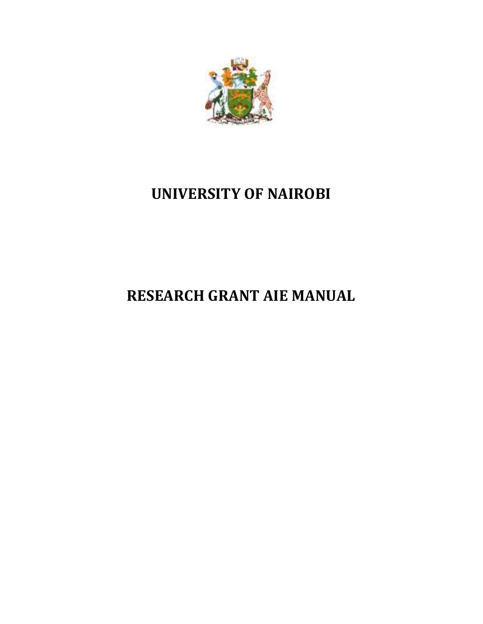

# **UNIVERSITY OF NAIROBI**

# **RESEARCH GRANT AIE MANUAL**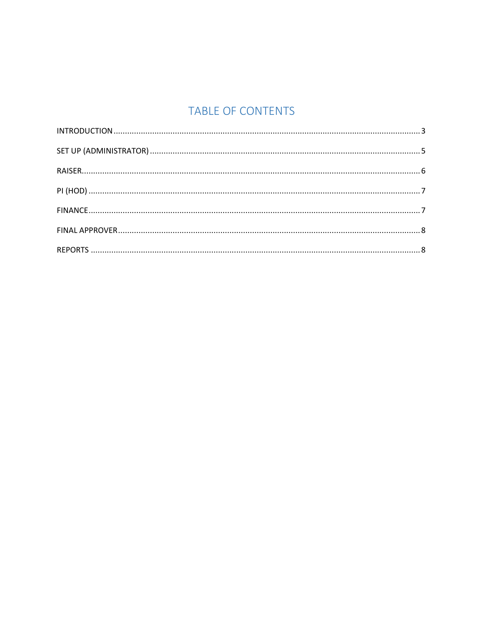# TABLE OF CONTENTS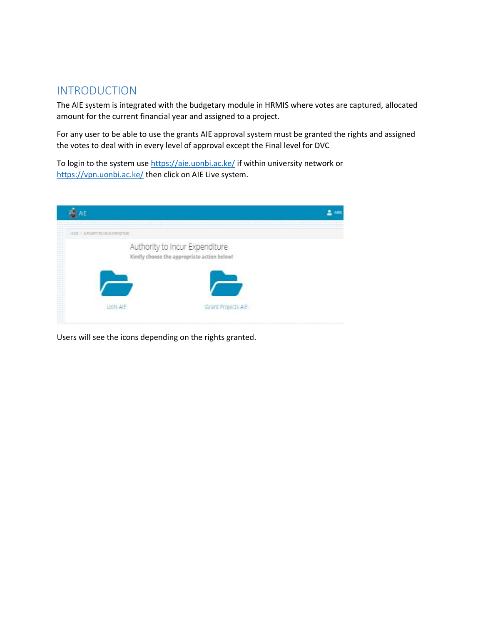### <span id="page-2-0"></span>INTRODUCTION

The AIE system is integrated with the budgetary module in HRMIS where votes are captured, allocated amount for the current financial year and assigned to a project.

For any user to be able to use the grants AIE approval system must be granted the rights and assigned the votes to deal with in every level of approval except the Final level for DVC

To login to the system use<https://aie.uonbi.ac.ke/> if within university network or <https://vpn.uonbi.ac.ke/> then click on AIE Live system.

| AIE                                                                                                                                                                                                                                                                                                                                                                                                    |                                                                               | $-1885$ |
|--------------------------------------------------------------------------------------------------------------------------------------------------------------------------------------------------------------------------------------------------------------------------------------------------------------------------------------------------------------------------------------------------------|-------------------------------------------------------------------------------|---------|
| ---<br>OF I ARENT KIRDFORM<br>$-1$<br>---<br>----                                                                                                                                                                                                                                                                                                                                                      |                                                                               |         |
| ----<br>----<br>---<br>distant and<br>----<br>----<br><b>STATISTICS</b><br>----<br>----<br><b>STATISTICS</b><br><b>CONTRACTOR</b><br>---<br>----<br>$2222 - 244$<br>----<br>----<br><b>Service</b><br><b>STATISTICS</b><br>----<br><b>STATISTICS</b><br>----<br>----<br><b>STATISTICS</b><br><b>STATISTICS</b><br>----<br><b>STATISTICS</b><br><b>STATISTICS</b><br>---<br>---<br>$2222 - 244$<br>---- | Authority to Incur Expenditure<br>Kindly choose the appropriate action below! |         |
| ----<br><b>Contract Contract</b><br><b>STATISTICS</b><br>---<br>$-1 - 1 - 1 - 1$<br><b>STATISTICS</b><br>----<br><b>STATISTICS</b><br>----<br>----<br>distant and<br>---                                                                                                                                                                                                                               | Grant Projects AIE                                                            |         |

Users will see the icons depending on the rights granted.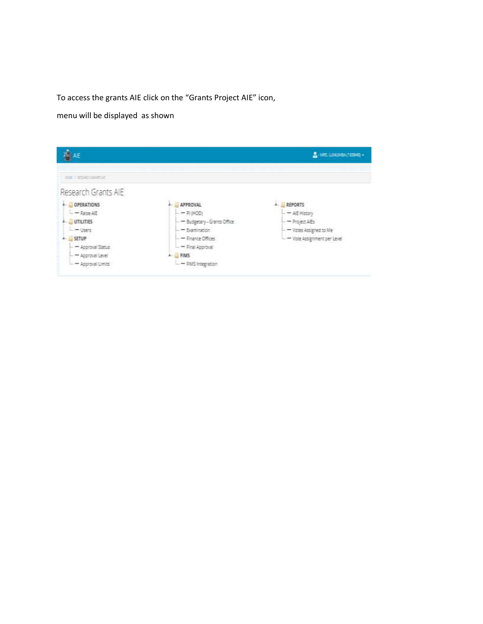To access the grants AIE click on the "Grants Project AIE" icon,

menu will be displayed as shown

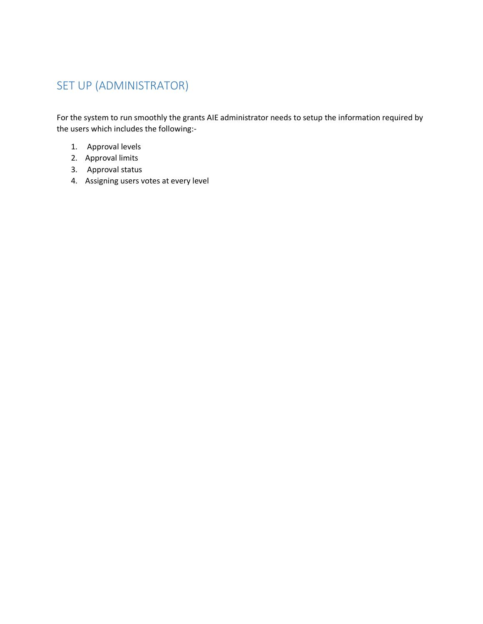# <span id="page-4-0"></span>SET UP (ADMINISTRATOR)

For the system to run smoothly the grants AIE administrator needs to setup the information required by the users which includes the following:-

- 1. Approval levels
- 2. Approval limits
- 3. Approval status
- 4. Assigning users votes at every level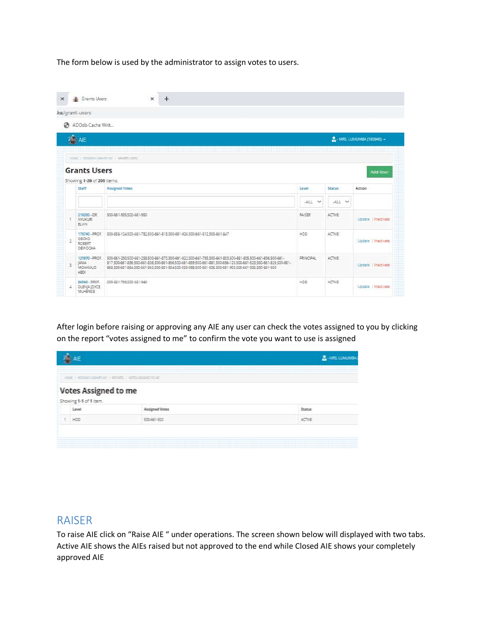The form below is used by the administrator to assign votes to users.

|                | ke/grant-users                                    |                                                                                                                                                                                                                                                                                                                                               |                  |         |                              |
|----------------|---------------------------------------------------|-----------------------------------------------------------------------------------------------------------------------------------------------------------------------------------------------------------------------------------------------------------------------------------------------------------------------------------------------|------------------|---------|------------------------------|
|                | ADOdb Cache Writ                                  |                                                                                                                                                                                                                                                                                                                                               |                  |         |                              |
|                | $\frac{1}{2}$ AIE                                 |                                                                                                                                                                                                                                                                                                                                               |                  |         | A. - MRS. LUMUMBA (183940) + |
|                |                                                   | <b>IOS / READIRED AT / GAISING</b>                                                                                                                                                                                                                                                                                                            |                  |         |                              |
|                | <b>Grants Users</b><br>Showing 1-20 of 205 items. |                                                                                                                                                                                                                                                                                                                                               |                  |         | <b>Add User</b>              |
|                | Staff                                             | Assigned Votes                                                                                                                                                                                                                                                                                                                                | Eevel            | Status  | Action                       |
|                |                                                   |                                                                                                                                                                                                                                                                                                                                               | $\sim$<br>$-ALT$ | ALL V   |                              |
| ٠.             | 218200 - DR<br>100330392<br>FLVIN                 | 500-661-905 500-661-950                                                                                                                                                                                                                                                                                                                       | <b>RAISER</b>    | ACTIVE  | Update   Inaccisate          |
| $\mathfrak{D}$ | CEOKO<br>ROBERT<br><b>CEWOCHA</b>                 | 176740 - PROF 300-656-124 500-661-782 500-661-818 500-661-976 500-661-512 500-661-847                                                                                                                                                                                                                                                         | <b>FIDD</b>      | ACTIVE  | Undate Tinactivate           |
| $\mathcal{I}$  | <b>UMA</b><br>MOHAM ID<br>ARDE                    | 121870 - PROF 500-661-250 500-661-258 500-661-870 500-661-822 500-661-793 500-661-803 500-661-805 500-661-806 500-661-<br>817 500-661-836 500-661-838 500-661-856 500-661-859 500-661-881 500-656-125 500-661-523 500-661-825 500-661-<br>868 500-661-864 500-661-860 500-661-854 500-658-088 500-661-996 500-661-905 500-661-935 500-661-990 | <b>PRINCIPAL</b> | ACTIVE: | Ubdate Intermate             |
|                | 86560 - PROF.<br>4 OLENA JOYCE                    | 500-661-790 500-661-940                                                                                                                                                                                                                                                                                                                       | HOD.             | ACTIVE  | Uodate I Inactivate          |

After login before raising or approving any AIE any user can check the votes assigned to you by clicking on the report "votes assigned to me" to confirm the vote you want to use is assigned

|   | <b>ALE</b>                                            |                                                | <b>B-IRE LIMERS</b> |
|---|-------------------------------------------------------|------------------------------------------------|---------------------|
|   |                                                       | <b>IGE / REMOVABLIKE / ROBS / XITERSORIANE</b> |                     |
|   | <b>Votes Assigned to me</b><br>Showing 1-1 of 1 item. |                                                |                     |
|   | Leuck                                                 | Assigned Votes                                 | <b>Status</b>       |
|   | 1,650                                                 | 500-661-920                                    | ACTIVE              |
| l |                                                       |                                                |                     |

#### <span id="page-5-0"></span>RAISER

To raise AIE click on "Raise AIE " under operations. The screen shown below will displayed with two tabs. Active AIE shows the AIEs raised but not approved to the end while Closed AIE shows your completely approved AIE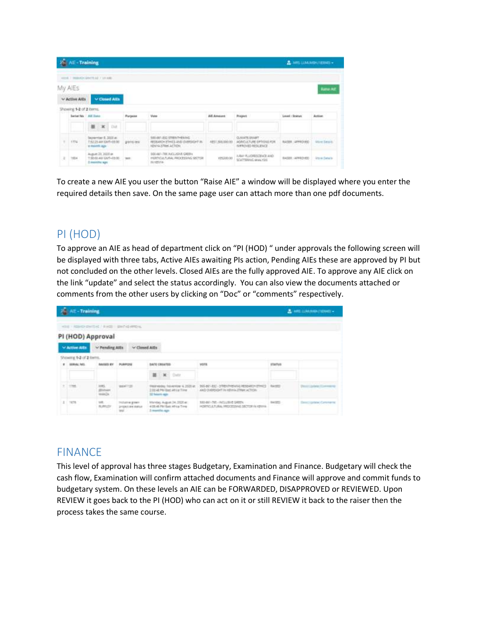|   | <b>NE-Training</b>                        |                                                            |                |                                   |                                                                                                                         |                                                 |                                                                                           | 是JAME LUMANDA/HEBRO +                         |                                 |
|---|-------------------------------------------|------------------------------------------------------------|----------------|-----------------------------------|-------------------------------------------------------------------------------------------------------------------------|-------------------------------------------------|-------------------------------------------------------------------------------------------|-----------------------------------------------|---------------------------------|
|   | some 1 missatisticated to all 7 services. |                                                            |                |                                   |                                                                                                                         |                                                 |                                                                                           |                                               |                                 |
|   | My AIEs                                   |                                                            |                |                                   |                                                                                                                         |                                                 |                                                                                           |                                               | <b>Base Air</b>                 |
|   | v Active AlEs                             |                                                            | w Clased Allis |                                   |                                                                                                                         |                                                 |                                                                                           |                                               |                                 |
|   | Showing 1-2 of 2 items.                   |                                                            |                |                                   |                                                                                                                         |                                                 |                                                                                           |                                               |                                 |
|   |                                           | Seriet My. All Euro-                                       |                | Purpose                           | <b>Video</b>                                                                                                            | AILAmassa.                                      | Project                                                                                   | Lewis : Scatus:                               | <b>Action</b>                   |
|   |                                           |                                                            | 第 第 Dif        |                                   |                                                                                                                         |                                                 |                                                                                           |                                               |                                 |
|   | 1774                                      | Impremium E. 3020 m.<br>T-RETA AM GMT+28.00<br>a marth ago |                | torogen<br>grants last<br>romate. | 100401-012 STREETHEMED (Control)<br>RESERVED HERE'S AND OVERSIDED IN<br><b>REPAIRMANT AND A REPORT OF REAL PROPERTY</b> | AU1201200.00<br><b><i>Charles Committee</i></b> | CLINAIRE SAVANT - - - - - - - - - - -<br>AGRIC/LTURE OFTIDIES RDR.<br>INFROVED RESIDENCE. | <b>STORY TELEVIS</b><br><b>BAIRE LEREDIED</b> | <b><i><u>Wore Sears</u></i></b> |
| ž | 1854                                      | Autum 23 2010 at<br>1:52:00 AM GMT+22:30<br>I months ago:  |                | tare.                             | DOG AND ITED INCLUSIVE GREEN<br>HORTICULTURAL PROCESSING SECTION<br><b>ISLICENSA</b>                                    | 1093300.00                                      | JUNE FLIOWISCHOLAND<br>SCATTERHAL ANNUNSE                                                 | SAISER: APPROVED                              | <b>Idare</b> Details            |

To create a new AIE you user the button "Raise AIE" a window will be displayed where you enter the required details then save. On the same page user can attach more than one pdf documents.

## <span id="page-6-0"></span>PI (HOD)

To approve an AIE as head of department click on "PI (HOD) " under approvals the following screen will be displayed with three tabs, Active AIEs awaiting PIs action, Pending AIEs these are approved by PI but not concluded on the other levels. Closed AIEs are the fully approved AIE. To approve any AIE click on the link "update" and select the status accordingly. You can also view the documents attached or comments from the other users by clicking on "Doc" or "comments" respectively.

|    | <b>AE-Training</b>       |                       |                                           |                                                                                 |                                                                                                                           |               | 2. THE LIMITED FEMALE.  |
|----|--------------------------|-----------------------|-------------------------------------------|---------------------------------------------------------------------------------|---------------------------------------------------------------------------------------------------------------------------|---------------|-------------------------|
|    |                          |                       | ASE! ASHO DHISK! ENG   BHOGARDA           |                                                                                 |                                                                                                                           |               |                         |
|    |                          | PI (HOD) Approval     |                                           |                                                                                 |                                                                                                                           |               |                         |
|    | W Active Ail's           | V Fending AIEs        | <b>STATE CONTRACTOR</b><br>w Closed All's |                                                                                 |                                                                                                                           |               |                         |
|    | Showing \$-2 of 2 forms. |                       |                                           |                                                                                 |                                                                                                                           |               |                         |
|    | E MAGLAD                 | <b>BAGIER BY 11</b>   | PLIMPOSE                                  | <b>BATE CREATES</b>                                                             | VIDER.                                                                                                                    | <b>NTATUS</b> |                         |
|    |                          |                       |                                           | $\mathbb{H}$ $\mathbb{R}$ Out                                                   |                                                                                                                           |               |                         |
|    | 1785                     | <b>AVIS</b><br>HALL   | <b>BARTER</b>                             | FREENDRY, TASHETOW 4, 2020 at:<br>2.00 at Mi-bac Wrig Time<br>32 hours ago.     | <b>CONTRACTOR CONTRACTOR</b><br>305-BET-EXC - STREADHENING RESEARCH ETHICS RACIDS<br>AND OVERSIGHT IN HEIRALITREE ACTION. |               | <b>CONTRACTOR</b>       |
| 国小 | 1478                     | ME<br><b>WURRLISH</b> | Installed a state<br>215911-641 SWLLE     | Marslay, August 34, 2020 at :<br>4:08:48 FM Basic Attres Times<br>2 months ago. | 330-661-793 - INCLUSIVE GREEN<br>HORTICLATURAL VEDCRISING SECTION IN KEINIA                                               | 24.25         | <b>Service Contract</b> |

## <span id="page-6-1"></span>FINANCE

This level of approval has three stages Budgetary, Examination and Finance. Budgetary will check the cash flow, Examination will confirm attached documents and Finance will approve and commit funds to budgetary system. On these levels an AIE can be FORWARDED, DISAPPROVED or REVIEWED. Upon REVIEW it goes back to the PI (HOD) who can act on it or still REVIEW it back to the raiser then the process takes the same course.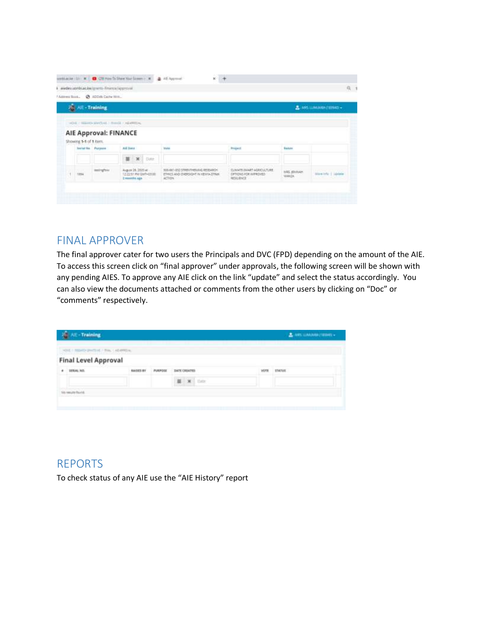|                            | awdev.izmbiac.ke/grents-finance/approval<br>Address Book. @ ADD(6) Cache W/R., |                                                               |                                                                                     |                                                                                  |                        |                           |
|----------------------------|--------------------------------------------------------------------------------|---------------------------------------------------------------|-------------------------------------------------------------------------------------|----------------------------------------------------------------------------------|------------------------|---------------------------|
| <b>Jail Alt - Training</b> |                                                                                |                                                               |                                                                                     |                                                                                  |                        | 显: MS LLMUNG+ (183943) -  |
|                            |                                                                                | HOE - NEWS SWEET - RING - NEWSEL                              |                                                                                     |                                                                                  |                        |                           |
| Showing 1-1 of 1 nem.      | AIE Approval: FINANCE                                                          |                                                               |                                                                                     |                                                                                  |                        |                           |
|                            | Instal Sta Porpose                                                             | <b>ALE DAMA</b><br><b>M</b> Date<br>耳                         | Weble                                                                               | <b>Project</b>                                                                   | <b>Ballin</b>          |                           |
| 1,694                      | testinghis                                                                     | August 24, 2020 et -<br>122211 PM GMTH2ESE<br>2 examiles ago. | 300-661-852 STREVITHEWAG RETEARCH<br>ETHICS AND CHRASTERT IN KENTOLSTRUK<br>action: | CURANTE ISLAET ACERCULTURE<br>DPTIONS FOR IMPROVED<br><b>RESERVED FOR STREET</b> | MRS. (DVANH)<br>WANZA. | Mareholz 1 <i>Liphone</i> |

#### <span id="page-7-0"></span>FINAL APPROVER

The final approver cater for two users the Principals and DVC (FPD) depending on the amount of the AIE. To access this screen click on "final approver" under approvals, the following screen will be shown with any pending AIES. To approve any AIE click on the link "update" and select the status accordingly. You can also view the documents attached or comments from the other users by clicking on "Doc" or "comments" respectively.

| AIE-Training                          |                         |                |                                       |      | A non disease (tenen - |
|---------------------------------------|-------------------------|----------------|---------------------------------------|------|------------------------|
| HOLE / NEWTO DIVISION / THIS CARDINAL |                         |                |                                       |      |                        |
| <b>Final Level Approval</b>           |                         |                |                                       |      |                        |
| <b><i>SERIAL NO</i></b><br>٠          | <b><i>BANSES IN</i></b> | <b>PURPOSE</b> | <b><i>INTE OREATES</i></b>            | WOTE | <b>STATUE:</b>         |
|                                       |                         |                | $\mathbf{H}$<br>$\mathbf{H}$<br>Tisty |      |                        |

### <span id="page-7-1"></span>REPORTS

To check status of any AIE use the "AIE History" report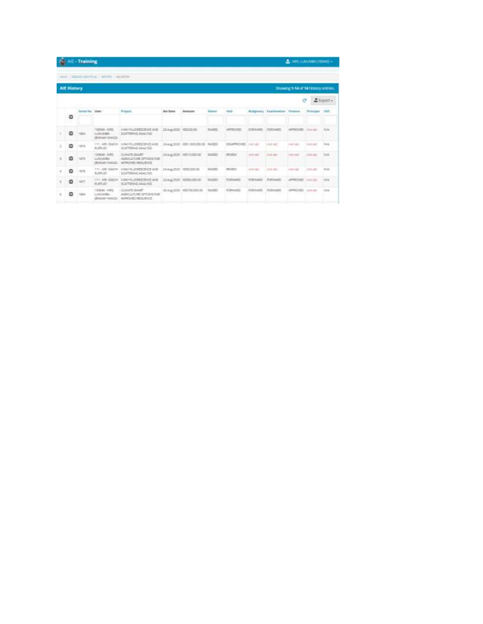|                    | <b>All - Training</b>   |                                                       |                                                                              |                          |                                   |                |                  |                   |                                   | $2.165$ and $0.06$ (TRNA) $-$       |                   |              |
|--------------------|-------------------------|-------------------------------------------------------|------------------------------------------------------------------------------|--------------------------|-----------------------------------|----------------|------------------|-------------------|-----------------------------------|-------------------------------------|-------------------|--------------|
|                    |                         | KING / REGION SINGLAL / GROVE / ASAUCH                |                                                                              |                          |                                   |                |                  |                   |                                   |                                     |                   |              |
| <b>Alt History</b> |                         |                                                       |                                                                              |                          |                                   |                |                  |                   |                                   | Showing 1-14 of 14 history entries. |                   |              |
|                    |                         |                                                       |                                                                              |                          |                                   |                |                  |                   |                                   |                                     | e                 | EExpor-      |
|                    | <b>Tattal No. 18441</b> |                                                       | <b>Fridant</b>                                                               | <b>Ave Date</b>          | Acrossitt                         | <b>Balance</b> | tim2-            |                   | <b>Balgma'y Institutor</b> Frence |                                     | Protections DVC   |              |
| Ð                  |                         |                                                       |                                                                              |                          |                                   |                |                  |                   |                                   |                                     |                   |              |
| a                  | 1954                    | 19545-000<br>LUSICARS.<br>(British Valley)            | LAW SUCRETEUT ALE<br>SCATTERING ANALYSIS                                     | 25 Aug 2020 18 \$2000.00 |                                   | 64500          | 489801493        | <b>ECHO-MO</b>    | <b>FORDWARD</b>                   | 40992400                            | <b>Post and</b>   | NA-          |
| a                  | <b>Light</b>            | TTT - MR. IDACHE<br>8,95,01                           | <b>ILRUY FLUORESCIPICY, AND</b><br>SCATTERING MAILYOS                        |                          | 24.4-4.2020 1EET/000.000.08 RASED |                | DEAPHOVED        | <b>POT DIE</b>    | PAID MIT                          | <b>Prest casts</b>                  | Park sett         | but.         |
| G                  | 1,623                   | 1036401ARG<br><b>LINGARA</b><br><b>IBSILIAN WALCO</b> | CLINATE SAMET<br><b>AGRICULTURE OPTIQUE FOR</b><br><b>BARROVED RESUBILIT</b> |                          | DAALA 2000 (ABST-DOOR DE          | Avidato        | <b>REVAILM</b>   | <b>Hot bell</b>   | <b>Pick Latit</b>                 | <b>Court candi</b>                  | <b>Just and</b>   | Auto         |
| @                  | 1679                    | TTT-SIR IDACHS<br>9,49,51                             | LINI ILLORESCENCE AND<br>SCATTRONIC ASALYSIS                                 |                          | 24.428.2020 RESENOSO              | KASED          | <b>REVIEW</b>    | <b>Short batt</b> | Petiter                           | <b>PERSONAL</b>                     | <b>Post card</b>  | to ac-       |
| Θ                  | 1977                    | TTL-MR ISASH<br><b>WURFLIED</b>                       | A RAY PLUCAR STRACK and<br><b>SCATTERING ANALYSIS</b>                        |                          | 24 Aug 2010 4 EMA Monday          | 84,683         | <b>PCWHILASS</b> | <b>ACRIVIARS</b>  | ADRIGUED                          | <b>LARMOURD</b>                     | Joseph Audito     | <b>ALL</b>   |
| Θ                  |                         | 123942-1995<br><b>LUMUAISA</b><br>(BNINKH NANCH)      | <b>CUMUS QUART</b><br>AGEC/ATURE OFFICIAL FOR<br><b>NUMBER RESURNER</b>      | 26.6cg 2010              | 475700.000.00                     | SHOEL          | ROBmaRD          | <b>FORNISTO</b>   | <b>POSTAGE</b>                    | APPROVED                            | <b>COLLECTION</b> | $_{\rm max}$ |